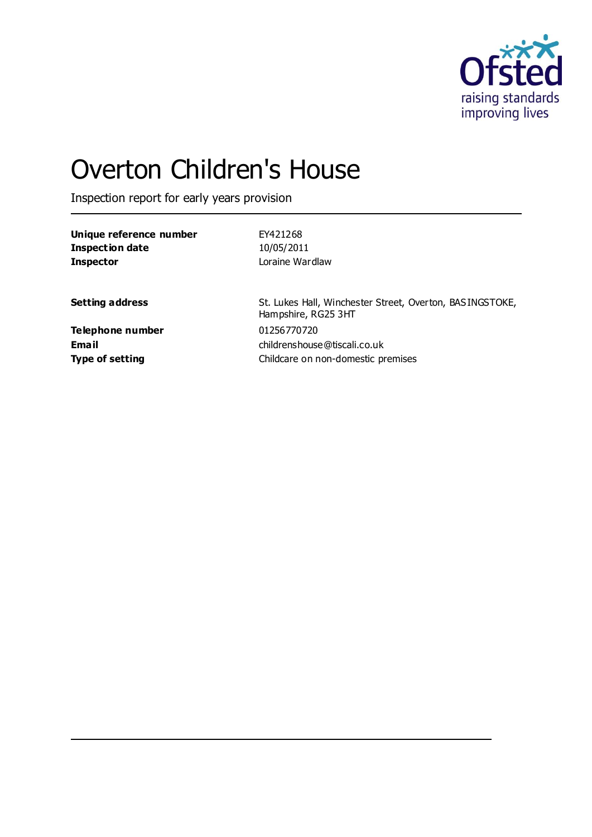

# Overton Children's House

Inspection report for early years provision

| Unique reference number | EY421268                                                                        |
|-------------------------|---------------------------------------------------------------------------------|
| <b>Inspection date</b>  | 10/05/2011                                                                      |
| <b>Inspector</b>        | Loraine Wardlaw                                                                 |
|                         |                                                                                 |
| <b>Setting address</b>  | St. Lukes Hall, Winchester Street, Overton, BASINGSTOKE,<br>Hampshire, RG25 3HT |
| Telephone number        | 01256770720                                                                     |
| Email                   | childrenshouse@tiscali.co.uk                                                    |
| <b>Type of setting</b>  | Childcare on non-domestic premises                                              |
|                         |                                                                                 |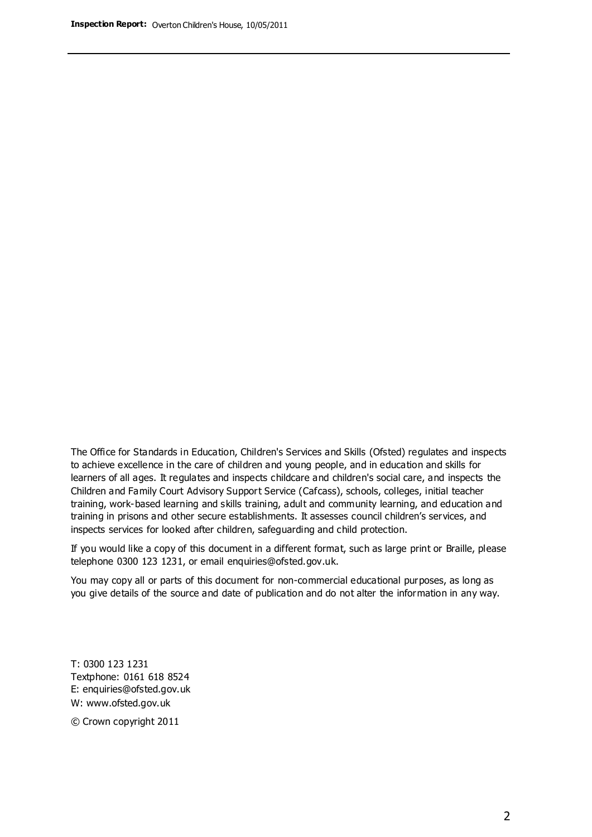The Office for Standards in Education, Children's Services and Skills (Ofsted) regulates and inspects to achieve excellence in the care of children and young people, and in education and skills for learners of all ages. It regulates and inspects childcare and children's social care, and inspects the Children and Family Court Advisory Support Service (Cafcass), schools, colleges, initial teacher training, work-based learning and skills training, adult and community learning, and education and training in prisons and other secure establishments. It assesses council children's services, and inspects services for looked after children, safeguarding and child protection.

If you would like a copy of this document in a different format, such as large print or Braille, please telephone 0300 123 1231, or email enquiries@ofsted.gov.uk.

You may copy all or parts of this document for non-commercial educational purposes, as long as you give details of the source and date of publication and do not alter the information in any way.

T: 0300 123 1231 Textphone: 0161 618 8524 E: enquiries@ofsted.gov.uk W: [www.ofsted.gov.uk](http://www.ofsted.gov.uk/)

© Crown copyright 2011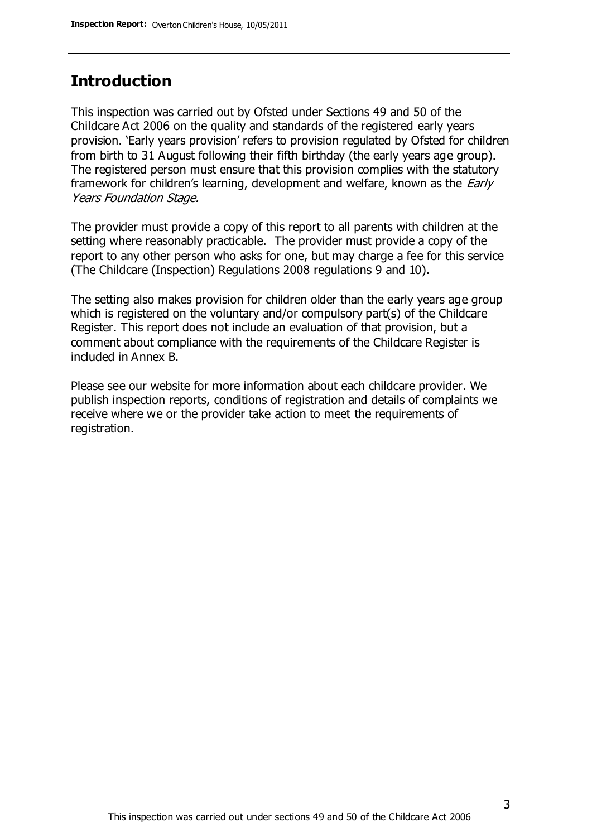### **Introduction**

This inspection was carried out by Ofsted under Sections 49 and 50 of the Childcare Act 2006 on the quality and standards of the registered early years provision. 'Early years provision' refers to provision regulated by Ofsted for children from birth to 31 August following their fifth birthday (the early years age group). The registered person must ensure that this provision complies with the statutory framework for children's learning, development and welfare, known as the *Early* Years Foundation Stage.

The provider must provide a copy of this report to all parents with children at the setting where reasonably practicable. The provider must provide a copy of the report to any other person who asks for one, but may charge a fee for this service (The Childcare (Inspection) Regulations 2008 regulations 9 and 10).

The setting also makes provision for children older than the early years age group which is registered on the voluntary and/or compulsory part(s) of the Childcare Register. This report does not include an evaluation of that provision, but a comment about compliance with the requirements of the Childcare Register is included in Annex B.

Please see our website for more information about each childcare provider. We publish inspection reports, conditions of registration and details of complaints we receive where we or the provider take action to meet the requirements of registration.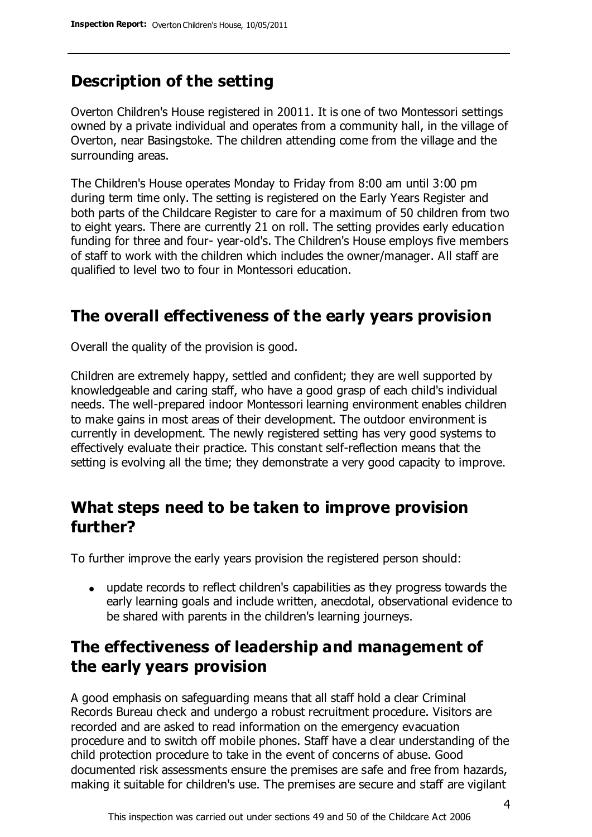# **Description of the setting**

Overton Children's House registered in 20011. It is one of two Montessori settings owned by a private individual and operates from a community hall, in the village of Overton, near Basingstoke. The children attending come from the village and the surrounding areas.

The Children's House operates Monday to Friday from 8:00 am until 3:00 pm during term time only. The setting is registered on the Early Years Register and both parts of the Childcare Register to care for a maximum of 50 children from two to eight years. There are currently 21 on roll. The setting provides early education funding for three and four- year-old's. The Children's House employs five members of staff to work with the children which includes the owner/manager. All staff are qualified to level two to four in Montessori education.

### **The overall effectiveness of the early years provision**

Overall the quality of the provision is good.

Children are extremely happy, settled and confident; they are well supported by knowledgeable and caring staff, who have a good grasp of each child's individual needs. The well-prepared indoor Montessori learning environment enables children to make gains in most areas of their development. The outdoor environment is currently in development. The newly registered setting has very good systems to effectively evaluate their practice. This constant self-reflection means that the setting is evolving all the time; they demonstrate a very good capacity to improve.

## **What steps need to be taken to improve provision further?**

To further improve the early years provision the registered person should:

update records to reflect children's capabilities as they progress towards the early learning goals and include written, anecdotal, observational evidence to be shared with parents in the children's learning journeys.

# **The effectiveness of leadership and management of the early years provision**

A good emphasis on safeguarding means that all staff hold a clear Criminal Records Bureau check and undergo a robust recruitment procedure. Visitors are recorded and are asked to read information on the emergency evacuation procedure and to switch off mobile phones. Staff have a clear understanding of the child protection procedure to take in the event of concerns of abuse. Good documented risk assessments ensure the premises are safe and free from hazards, making it suitable for children's use. The premises are secure and staff are vigilant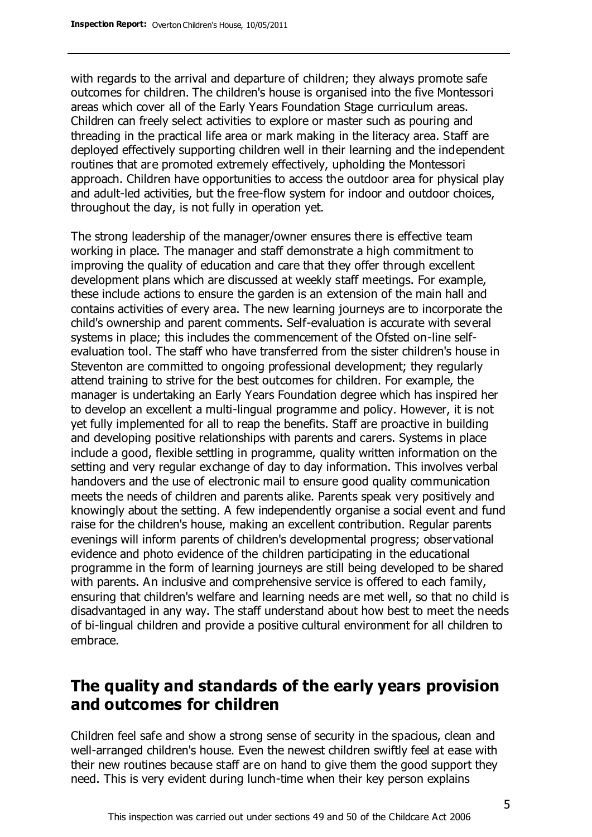with regards to the arrival and departure of children; they always promote safe outcomes for children. The children's house is organised into the five Montessori areas which cover all of the Early Years Foundation Stage curriculum areas. Children can freely select activities to explore or master such as pouring and threading in the practical life area or mark making in the literacy area. Staff are deployed effectively supporting children well in their learning and the independent routines that are promoted extremely effectively, upholding the Montessori approach. Children have opportunities to access the outdoor area for physical play and adult-led activities, but the free-flow system for indoor and outdoor choices, throughout the day, is not fully in operation yet.

The strong leadership of the manager/owner ensures there is effective team working in place. The manager and staff demonstrate a high commitment to improving the quality of education and care that they offer through excellent development plans which are discussed at weekly staff meetings. For example, these include actions to ensure the garden is an extension of the main hall and contains activities of every area. The new learning journeys are to incorporate the child's ownership and parent comments. Self-evaluation is accurate with several systems in place; this includes the commencement of the Ofsted on-line selfevaluation tool. The staff who have transferred from the sister children's house in Steventon are committed to ongoing professional development; they regularly attend training to strive for the best outcomes for children. For example, the manager is undertaking an Early Years Foundation degree which has inspired her to develop an excellent a multi-lingual programme and policy. However, it is not yet fully implemented for all to reap the benefits. Staff are proactive in building and developing positive relationships with parents and carers. Systems in place include a good, flexible settling in programme, quality written information on the setting and very regular exchange of day to day information. This involves verbal handovers and the use of electronic mail to ensure good quality communication meets the needs of children and parents alike. Parents speak very positively and knowingly about the setting. A few independently organise a social event and fund raise for the children's house, making an excellent contribution. Regular parents evenings will inform parents of children's developmental progress; observational evidence and photo evidence of the children participating in the educational programme in the form of learning journeys are still being developed to be shared with parents. An inclusive and comprehensive service is offered to each family, ensuring that children's welfare and learning needs are met well, so that no child is disadvantaged in any way. The staff understand about how best to meet the needs of bi-lingual children and provide a positive cultural environment for all children to embrace.

### **The quality and standards of the early years provision and outcomes for children**

Children feel safe and show a strong sense of security in the spacious, clean and well-arranged children's house. Even the newest children swiftly feel at ease with their new routines because staff are on hand to give them the good support they need. This is very evident during lunch-time when their key person explains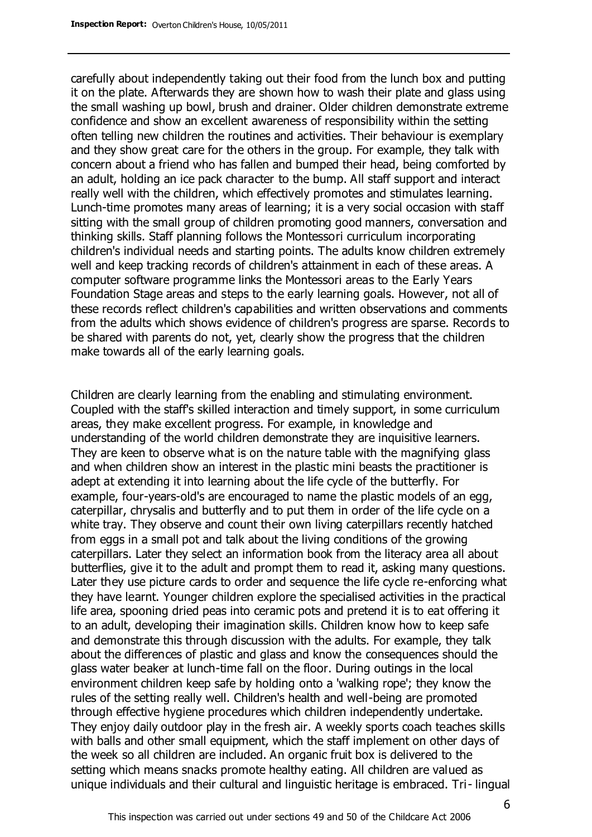carefully about independently taking out their food from the lunch box and putting it on the plate. Afterwards they are shown how to wash their plate and glass using the small washing up bowl, brush and drainer. Older children demonstrate extreme confidence and show an excellent awareness of responsibility within the setting often telling new children the routines and activities. Their behaviour is exemplary and they show great care for the others in the group. For example, they talk with concern about a friend who has fallen and bumped their head, being comforted by an adult, holding an ice pack character to the bump. All staff support and interact really well with the children, which effectively promotes and stimulates learning. Lunch-time promotes many areas of learning; it is a very social occasion with staff sitting with the small group of children promoting good manners, conversation and thinking skills. Staff planning follows the Montessori curriculum incorporating children's individual needs and starting points. The adults know children extremely well and keep tracking records of children's attainment in each of these areas. A computer software programme links the Montessori areas to the Early Years Foundation Stage areas and steps to the early learning goals. However, not all of these records reflect children's capabilities and written observations and comments from the adults which shows evidence of children's progress are sparse. Records to be shared with parents do not, yet, clearly show the progress that the children make towards all of the early learning goals.

Children are clearly learning from the enabling and stimulating environment. Coupled with the staff's skilled interaction and timely support, in some curriculum areas, they make excellent progress. For example, in knowledge and understanding of the world children demonstrate they are inquisitive learners. They are keen to observe what is on the nature table with the magnifying glass and when children show an interest in the plastic mini beasts the practitioner is adept at extending it into learning about the life cycle of the butterfly. For example, four-years-old's are encouraged to name the plastic models of an egg, caterpillar, chrysalis and butterfly and to put them in order of the life cycle on a white tray. They observe and count their own living caterpillars recently hatched from eggs in a small pot and talk about the living conditions of the growing caterpillars. Later they select an information book from the literacy area all about butterflies, give it to the adult and prompt them to read it, asking many questions. Later they use picture cards to order and sequence the life cycle re-enforcing what they have learnt. Younger children explore the specialised activities in the practical life area, spooning dried peas into ceramic pots and pretend it is to eat offering it to an adult, developing their imagination skills. Children know how to keep safe and demonstrate this through discussion with the adults. For example, they talk about the differences of plastic and glass and know the consequences should the glass water beaker at lunch-time fall on the floor. During outings in the local environment children keep safe by holding onto a 'walking rope'; they know the rules of the setting really well. Children's health and well-being are promoted through effective hygiene procedures which children independently undertake. They enjoy daily outdoor play in the fresh air. A weekly sports coach teaches skills with balls and other small equipment, which the staff implement on other days of the week so all children are included. An organic fruit box is delivered to the setting which means snacks promote healthy eating. All children are valued as unique individuals and their cultural and linguistic heritage is embraced. Tri- lingual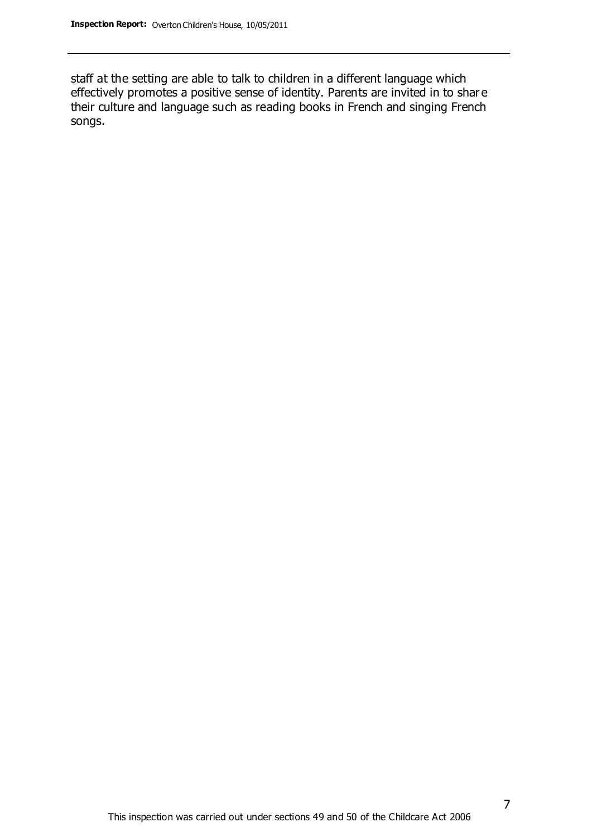staff at the setting are able to talk to children in a different language which effectively promotes a positive sense of identity. Parents are invited in to shar e their culture and language such as reading books in French and singing French songs.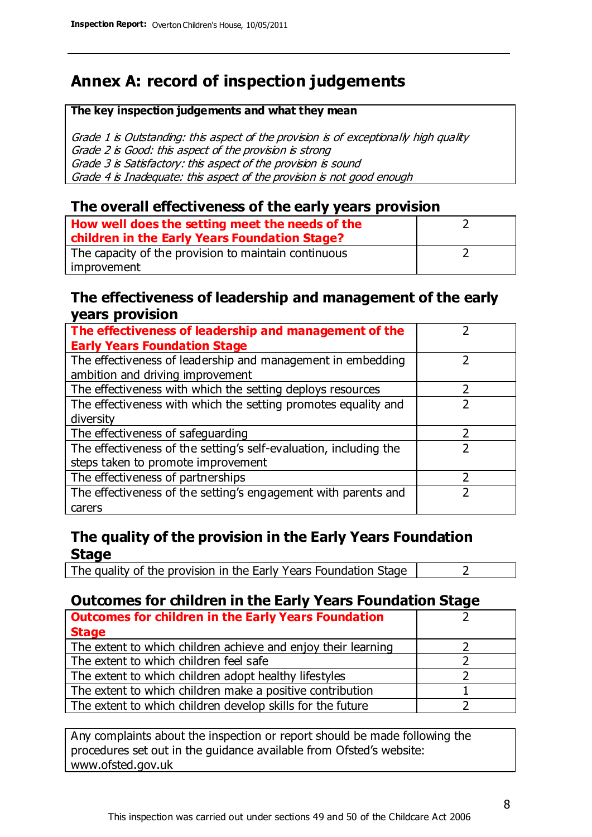# **Annex A: record of inspection judgements**

#### **The key inspection judgements and what they mean**

Grade 1 is Outstanding: this aspect of the provision is of exceptionally high quality Grade 2 is Good: this aspect of the provision is strong Grade 3 is Satisfactory: this aspect of the provision is sound Grade 4 is Inadequate: this aspect of the provision is not good enough

#### **The overall effectiveness of the early years provision**

| How well does the setting meet the needs of the<br>children in the Early Years Foundation Stage? |  |
|--------------------------------------------------------------------------------------------------|--|
| The capacity of the provision to maintain continuous                                             |  |
| improvement                                                                                      |  |

#### **The effectiveness of leadership and management of the early years provision**

| The effectiveness of leadership and management of the             |  |
|-------------------------------------------------------------------|--|
| <b>Early Years Foundation Stage</b>                               |  |
| The effectiveness of leadership and management in embedding       |  |
| ambition and driving improvement                                  |  |
| The effectiveness with which the setting deploys resources        |  |
| The effectiveness with which the setting promotes equality and    |  |
| diversity                                                         |  |
| The effectiveness of safeguarding                                 |  |
| The effectiveness of the setting's self-evaluation, including the |  |
| steps taken to promote improvement                                |  |
| The effectiveness of partnerships                                 |  |
| The effectiveness of the setting's engagement with parents and    |  |
| carers                                                            |  |

### **The quality of the provision in the Early Years Foundation Stage**

The quality of the provision in the Early Years Foundation Stage  $\vert$  2

### **Outcomes for children in the Early Years Foundation Stage**

| <b>Outcomes for children in the Early Years Foundation</b>    |  |
|---------------------------------------------------------------|--|
| <b>Stage</b>                                                  |  |
| The extent to which children achieve and enjoy their learning |  |
| The extent to which children feel safe                        |  |
| The extent to which children adopt healthy lifestyles         |  |
| The extent to which children make a positive contribution     |  |
| The extent to which children develop skills for the future    |  |

Any complaints about the inspection or report should be made following the procedures set out in the guidance available from Ofsted's website: www.ofsted.gov.uk